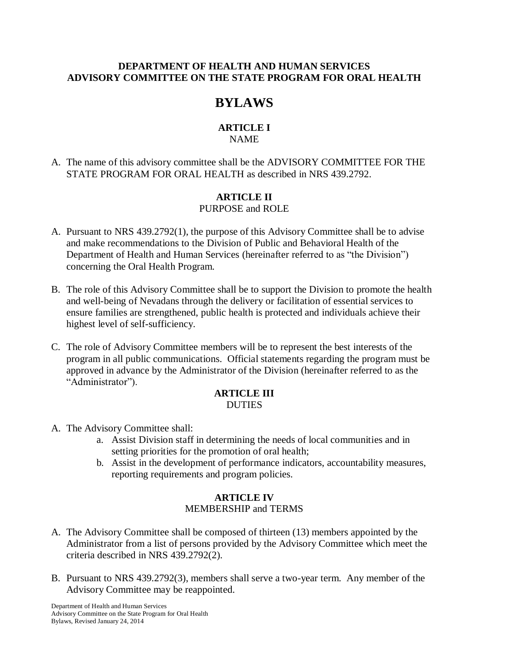#### **DEPARTMENT OF HEALTH AND HUMAN SERVICES ADVISORY COMMITTEE ON THE STATE PROGRAM FOR ORAL HEALTH**

# **BYLAWS**

# **ARTICLE I**

# NAME

A. The name of this advisory committee shall be the ADVISORY COMMITTEE FOR THE STATE PROGRAM FOR ORAL HEALTH as described in NRS 439.2792.

# **ARTICLE II**

# PURPOSE and ROLE

- A. Pursuant to NRS 439.2792(1), the purpose of this Advisory Committee shall be to advise and make recommendations to the Division of Public and Behavioral Health of the Department of Health and Human Services (hereinafter referred to as "the Division") concerning the Oral Health Program.
- B. The role of this Advisory Committee shall be to support the Division to promote the health and well-being of Nevadans through the delivery or facilitation of essential services to ensure families are strengthened, public health is protected and individuals achieve their highest level of self-sufficiency.
- C. The role of Advisory Committee members will be to represent the best interests of the program in all public communications. Official statements regarding the program must be approved in advance by the Administrator of the Division (hereinafter referred to as the "Administrator").

#### **ARTICLE III DUTIES**

- A. The Advisory Committee shall:
	- a. Assist Division staff in determining the needs of local communities and in setting priorities for the promotion of oral health;
	- b. Assist in the development of performance indicators, accountability measures, reporting requirements and program policies.

## **ARTICLE IV** MEMBERSHIP and TERMS

- A. The Advisory Committee shall be composed of thirteen (13) members appointed by the Administrator from a list of persons provided by the Advisory Committee which meet the criteria described in NRS 439.2792(2).
- B. Pursuant to NRS 439.2792(3), members shall serve a two-year term. Any member of the Advisory Committee may be reappointed.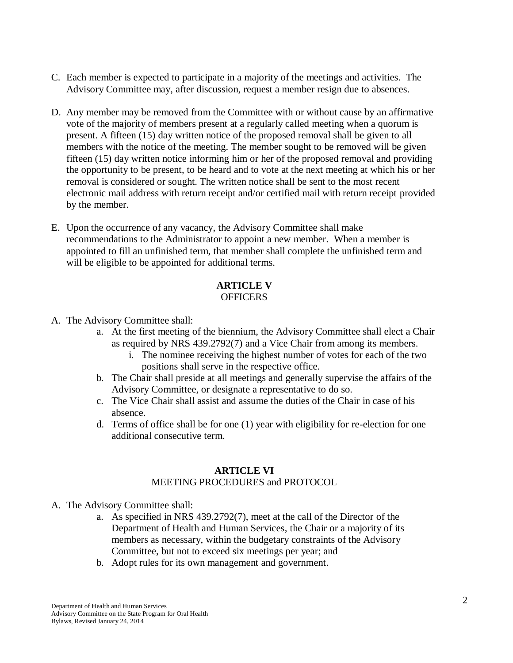- C. Each member is expected to participate in a majority of the meetings and activities. The Advisory Committee may, after discussion, request a member resign due to absences.
- D. Any member may be removed from the Committee with or without cause by an affirmative vote of the majority of members present at a regularly called meeting when a quorum is present. A fifteen (15) day written notice of the proposed removal shall be given to all members with the notice of the meeting. The member sought to be removed will be given fifteen (15) day written notice informing him or her of the proposed removal and providing the opportunity to be present, to be heard and to vote at the next meeting at which his or her removal is considered or sought. The written notice shall be sent to the most recent electronic mail address with return receipt and/or certified mail with return receipt provided by the member.
- E. Upon the occurrence of any vacancy, the Advisory Committee shall make recommendations to the Administrator to appoint a new member. When a member is appointed to fill an unfinished term, that member shall complete the unfinished term and will be eligible to be appointed for additional terms.

## **ARTICLE V OFFICERS**

- A. The Advisory Committee shall:
	- a. At the first meeting of the biennium, the Advisory Committee shall elect a Chair as required by NRS 439.2792(7) and a Vice Chair from among its members.
		- i. The nominee receiving the highest number of votes for each of the two positions shall serve in the respective office.
	- b. The Chair shall preside at all meetings and generally supervise the affairs of the Advisory Committee, or designate a representative to do so.
	- c. The Vice Chair shall assist and assume the duties of the Chair in case of his absence.
	- d. Terms of office shall be for one (1) year with eligibility for re-election for one additional consecutive term.

## **ARTICLE VI**

## MEETING PROCEDURES and PROTOCOL

- A. The Advisory Committee shall:
	- a. As specified in NRS 439.2792(7), meet at the call of the Director of the Department of Health and Human Services, the Chair or a majority of its members as necessary, within the budgetary constraints of the Advisory Committee, but not to exceed six meetings per year; and
	- b. Adopt rules for its own management and government.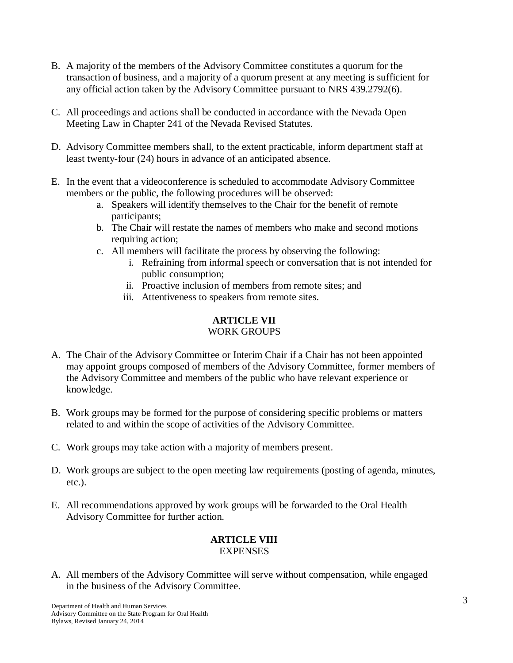- B. A majority of the members of the Advisory Committee constitutes a quorum for the transaction of business, and a majority of a quorum present at any meeting is sufficient for any official action taken by the Advisory Committee pursuant to NRS 439.2792(6).
- C. All proceedings and actions shall be conducted in accordance with the Nevada Open Meeting Law in Chapter 241 of the Nevada Revised Statutes.
- D. Advisory Committee members shall, to the extent practicable, inform department staff at least twenty-four (24) hours in advance of an anticipated absence.
- E. In the event that a videoconference is scheduled to accommodate Advisory Committee members or the public, the following procedures will be observed:
	- a. Speakers will identify themselves to the Chair for the benefit of remote participants;
	- b. The Chair will restate the names of members who make and second motions requiring action:
	- c. All members will facilitate the process by observing the following:
		- i. Refraining from informal speech or conversation that is not intended for public consumption;
		- ii. Proactive inclusion of members from remote sites; and
		- iii. Attentiveness to speakers from remote sites.

## **ARTICLE VII** WORK GROUPS

- A. The Chair of the Advisory Committee or Interim Chair if a Chair has not been appointed may appoint groups composed of members of the Advisory Committee, former members of the Advisory Committee and members of the public who have relevant experience or knowledge.
- B. Work groups may be formed for the purpose of considering specific problems or matters related to and within the scope of activities of the Advisory Committee.
- C. Work groups may take action with a majority of members present.
- D. Work groups are subject to the open meeting law requirements (posting of agenda, minutes, etc.).
- E. All recommendations approved by work groups will be forwarded to the Oral Health Advisory Committee for further action.

#### **ARTICLE VIII EXPENSES**

A. All members of the Advisory Committee will serve without compensation, while engaged in the business of the Advisory Committee.